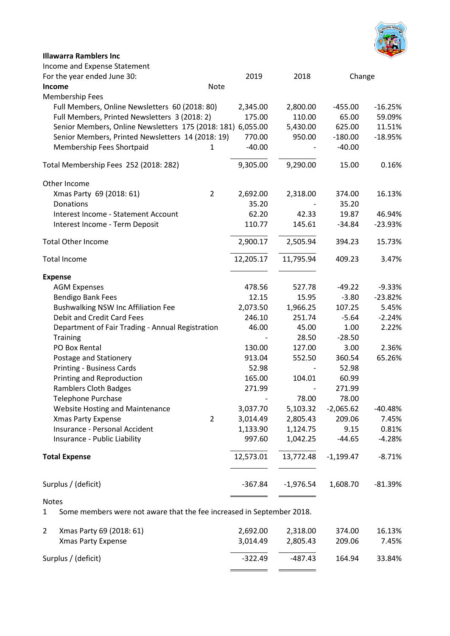

| <b>Illawarra Ramblers Inc</b>                               |           |             |             |           |
|-------------------------------------------------------------|-----------|-------------|-------------|-----------|
| Income and Expense Statement                                |           |             |             |           |
| For the year ended June 30:                                 | 2019      | 2018        | Change      |           |
| Note<br><b>Income</b>                                       |           |             |             |           |
| Membership Fees                                             |           |             |             |           |
| Full Members, Online Newsletters 60 (2018: 80)              | 2,345.00  | 2,800.00    | $-455.00$   | $-16.25%$ |
| Full Members, Printed Newsletters 3 (2018: 2)               | 175.00    | 110.00      | 65.00       | 59.09%    |
| Senior Members, Online Newsletters 175 (2018: 181) 6,055.00 |           | 5,430.00    | 625.00      | 11.51%    |
| Senior Members, Printed Newsletters 14 (2018: 19)           | 770.00    | 950.00      | $-180.00$   | $-18.95%$ |
| Membership Fees Shortpaid<br>$\mathbf{1}$                   | $-40.00$  |             | $-40.00$    |           |
| Total Membership Fees 252 (2018: 282)                       | 9,305.00  | 9,290.00    | 15.00       | 0.16%     |
| Other Income                                                |           |             |             |           |
| $\overline{2}$<br>Xmas Party 69 (2018: 61)                  | 2,692.00  | 2,318.00    | 374.00      | 16.13%    |
| Donations                                                   | 35.20     |             | 35.20       |           |
| Interest Income - Statement Account                         | 62.20     | 42.33       | 19.87       | 46.94%    |
| Interest Income - Term Deposit                              | 110.77    | 145.61      | $-34.84$    | $-23.93%$ |
| <b>Total Other Income</b>                                   | 2,900.17  | 2,505.94    | 394.23      | 15.73%    |
| <b>Total Income</b>                                         | 12,205.17 | 11,795.94   | 409.23      | 3.47%     |
| <b>Expense</b>                                              |           |             |             |           |
| <b>AGM Expenses</b>                                         | 478.56    | 527.78      | $-49.22$    | $-9.33%$  |
| <b>Bendigo Bank Fees</b>                                    | 12.15     | 15.95       | $-3.80$     | $-23.82%$ |
| Bushwalking NSW Inc Affiliation Fee                         | 2,073.50  | 1,966.25    | 107.25      | 5.45%     |
| Debit and Credit Card Fees                                  | 246.10    | 251.74      | $-5.64$     | $-2.24%$  |
| Department of Fair Trading - Annual Registration            | 46.00     | 45.00       | 1.00        | 2.22%     |
| <b>Training</b>                                             |           | 28.50       | $-28.50$    |           |
| PO Box Rental                                               | 130.00    | 127.00      | 3.00        | 2.36%     |
| Postage and Stationery                                      | 913.04    | 552.50      | 360.54      | 65.26%    |
| <b>Printing - Business Cards</b>                            | 52.98     |             | 52.98       |           |
| Printing and Reproduction                                   | 165.00    | 104.01      | 60.99       |           |
| <b>Ramblers Cloth Badges</b>                                | 271.99    |             | 271.99      |           |
| Telephone Purchase                                          |           | 78.00       | 78.00       |           |
| Website Hosting and Maintenance                             | 3,037.70  | 5,103.32    | $-2,065.62$ | $-40.48%$ |
| $\overline{2}$<br><b>Xmas Party Expense</b>                 | 3,014.49  | 2,805.43    | 209.06      | 7.45%     |
| Insurance - Personal Accident                               | 1,133.90  | 1,124.75    | 9.15        | 0.81%     |
| Insurance - Public Liability                                | 997.60    | 1,042.25    | $-44.65$    | $-4.28%$  |
| <b>Total Expense</b>                                        | 12,573.01 | 13,772.48   | $-1,199.47$ | $-8.71%$  |
| Surplus / (deficit)                                         | $-367.84$ | $-1,976.54$ | 1,608.70    | $-81.39%$ |

## Notes

1 Some members were not aware that the fee increased in September 2018.

| Xmas Party 69 (2018: 61) | 2.692.00  | 2.318.00 | 374.00 | 16.13% |
|--------------------------|-----------|----------|--------|--------|
| Xmas Party Expense       | 3.014.49  | 2.805.43 | 209.06 | 7.45%  |
| Surplus / (deficit)      | $-322.49$ | -487.43  | 164.94 | 33.84% |